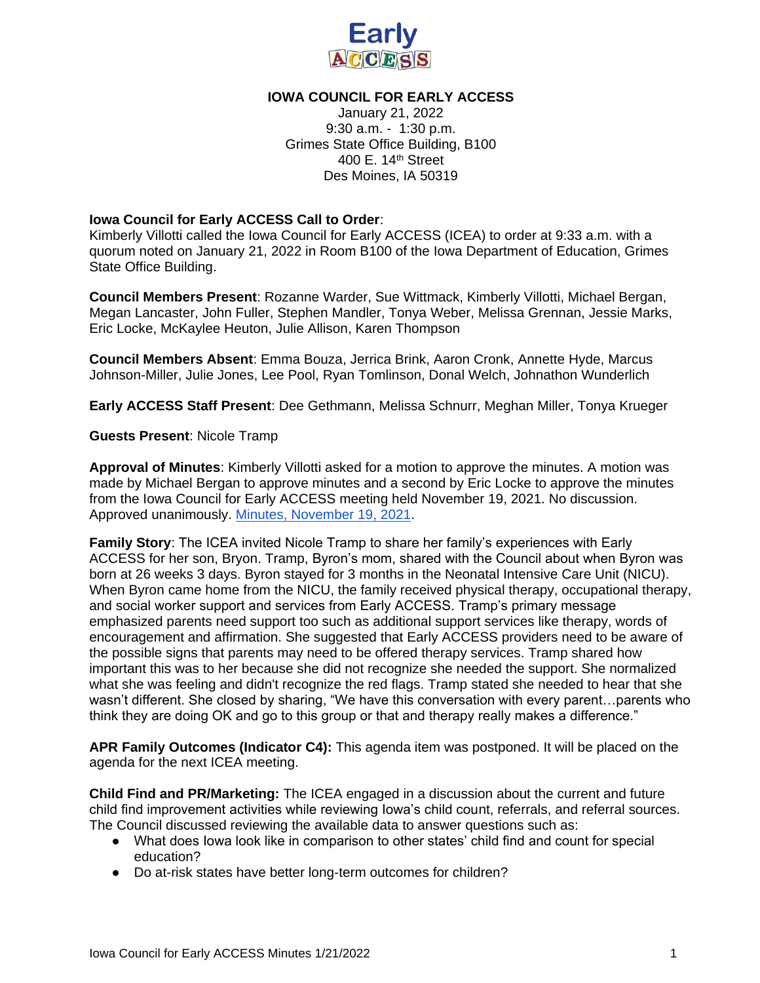

## **IOWA COUNCIL FOR EARLY ACCESS**

January 21, 2022 9:30 a.m. - 1:30 p.m. Grimes State Office Building, B100 400 E. 14th Street Des Moines, IA 50319

## **Iowa Council for Early ACCESS Call to Order**:

Kimberly Villotti called the Iowa Council for Early ACCESS (ICEA) to order at 9:33 a.m. with a quorum noted on January 21, 2022 in Room B100 of the Iowa Department of Education, Grimes State Office Building.

**Council Members Present**: Rozanne Warder, Sue Wittmack, Kimberly Villotti, Michael Bergan, Megan Lancaster, John Fuller, Stephen Mandler, Tonya Weber, Melissa Grennan, Jessie Marks, Eric Locke, McKaylee Heuton, Julie Allison, Karen Thompson

**Council Members Absent**: Emma Bouza, Jerrica Brink, Aaron Cronk, Annette Hyde, Marcus Johnson-Miller, Julie Jones, Lee Pool, Ryan Tomlinson, Donal Welch, Johnathon Wunderlich

**Early ACCESS Staff Present**: Dee Gethmann, Melissa Schnurr, Meghan Miller, Tonya Krueger

## **Guests Present**: Nicole Tramp

**Approval of Minutes**: Kimberly Villotti asked for a motion to approve the minutes. A motion was made by Michael Bergan to approve minutes and a second by Eric Locke to approve the minutes from the Iowa Council for Early ACCESS meeting held November 19, 2021. No discussion. Approved unanimously. [Minutes, November 19, 2021.](https://docs.google.com/document/d/1oU_sjuqi1Kd0CzG9cXfWw66TeKRFForW/edit)

**Family Story**: The ICEA invited Nicole Tramp to share her family's experiences with Early ACCESS for her son, Bryon. Tramp, Byron's mom, shared with the Council about when Byron was born at 26 weeks 3 days. Byron stayed for 3 months in the Neonatal Intensive Care Unit (NICU). When Byron came home from the NICU, the family received physical therapy, occupational therapy, and social worker support and services from Early ACCESS. Tramp's primary message emphasized parents need support too such as additional support services like therapy, words of encouragement and affirmation. She suggested that Early ACCESS providers need to be aware of the possible signs that parents may need to be offered therapy services. Tramp shared how important this was to her because she did not recognize she needed the support. She normalized what she was feeling and didn't recognize the red flags. Tramp stated she needed to hear that she wasn't different. She closed by sharing, "We have this conversation with every parent…parents who think they are doing OK and go to this group or that and therapy really makes a difference."

**APR Family Outcomes (Indicator C4):** This agenda item was postponed. It will be placed on the agenda for the next ICEA meeting.

**Child Find and PR/Marketing:** The ICEA engaged in a discussion about the current and future child find improvement activities while reviewing Iowa's child count, referrals, and referral sources. The Council discussed reviewing the available data to answer questions such as:

- What does Iowa look like in comparison to other states' child find and count for special education?
- Do at-risk states have better long-term outcomes for children?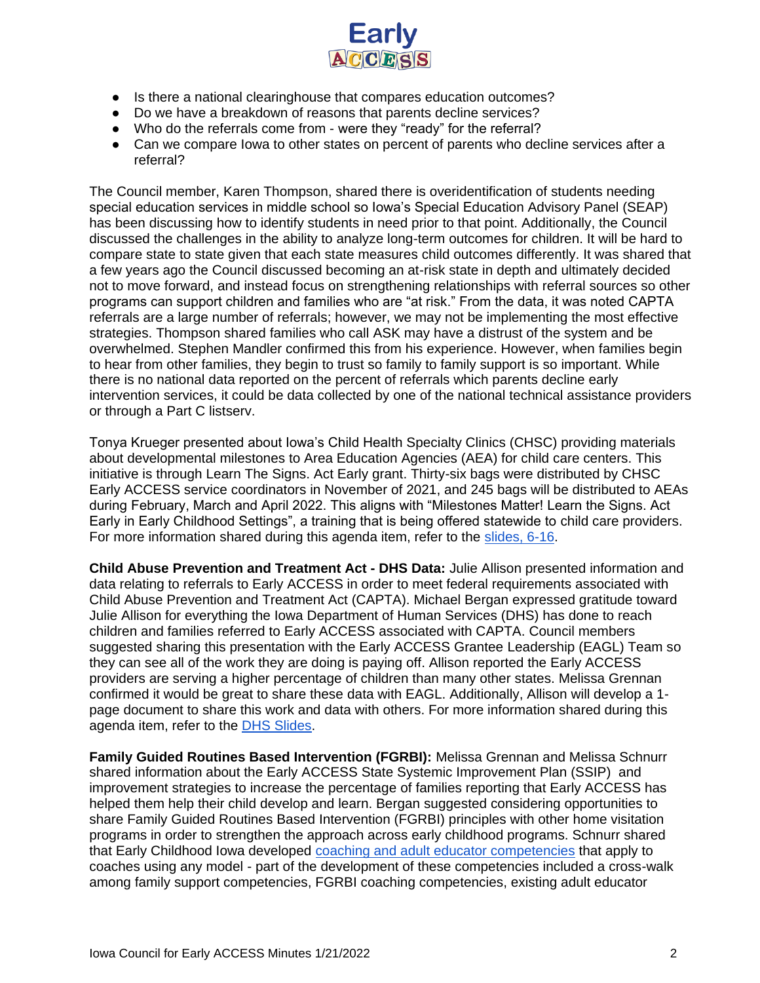

- Is there a national clearinghouse that compares education outcomes?
- Do we have a breakdown of reasons that parents decline services?
- Who do the referrals come from were they "ready" for the referral?
- Can we compare lowa to other states on percent of parents who decline services after a referral?

The Council member, Karen Thompson, shared there is overidentification of students needing special education services in middle school so Iowa's Special Education Advisory Panel (SEAP) has been discussing how to identify students in need prior to that point. Additionally, the Council discussed the challenges in the ability to analyze long-term outcomes for children. It will be hard to compare state to state given that each state measures child outcomes differently. It was shared that a few years ago the Council discussed becoming an at-risk state in depth and ultimately decided not to move forward, and instead focus on strengthening relationships with referral sources so other programs can support children and families who are "at risk." From the data, it was noted CAPTA referrals are a large number of referrals; however, we may not be implementing the most effective strategies. Thompson shared families who call ASK may have a distrust of the system and be overwhelmed. Stephen Mandler confirmed this from his experience. However, when families begin to hear from other families, they begin to trust so family to family support is so important. While there is no national data reported on the percent of referrals which parents decline early intervention services, it could be data collected by one of the national technical assistance providers or through a Part C listserv.

Tonya Krueger presented about Iowa's Child Health Specialty Clinics (CHSC) providing materials about developmental milestones to Area Education Agencies (AEA) for child care centers. This initiative is through Learn The Signs. Act Early grant. Thirty-six bags were distributed by CHSC Early ACCESS service coordinators in November of 2021, and 245 bags will be distributed to AEAs during February, March and April 2022. This aligns with "Milestones Matter! Learn the Signs. Act Early in Early Childhood Settings", a training that is being offered statewide to child care providers. For more information shared during this agenda item, refer to the [slides, 6-16.](https://docs.google.com/presentation/d/13RKo2CT4JKWrLnqNCwumomIjR7Iga7bXyRDtU5gNBjQ/edit#slide=id.g10f59df6a85_0_0)

**Child Abuse Prevention and Treatment Act - DHS Data:** Julie Allison presented information and data relating to referrals to Early ACCESS in order to meet federal requirements associated with Child Abuse Prevention and Treatment Act (CAPTA). Michael Bergan expressed gratitude toward Julie Allison for everything the Iowa Department of Human Services (DHS) has done to reach children and families referred to Early ACCESS associated with CAPTA. Council members suggested sharing this presentation with the Early ACCESS Grantee Leadership (EAGL) Team so they can see all of the work they are doing is paying off. Allison reported the Early ACCESS providers are serving a higher percentage of children than many other states. Melissa Grennan confirmed it would be great to share these data with EAGL. Additionally, Allison will develop a 1 page document to share this work and data with others. For more information shared during this agenda item, refer to the [DHS Slides.](https://drive.google.com/file/d/1xFutgMWTRhQFmVZy1ynNtFALmhGlFMrJ/view?usp=sharing)

**Family Guided Routines Based Intervention (FGRBI):** Melissa Grennan and Melissa Schnurr shared information about the Early ACCESS State Systemic Improvement Plan (SSIP) and improvement strategies to increase the percentage of families reporting that Early ACCESS has helped them help their child develop and learn. Bergan suggested considering opportunities to share Family Guided Routines Based Intervention (FGRBI) principles with other home visitation programs in order to strengthen the approach across early childhood programs. Schnurr shared that Early Childhood Iowa developed [coaching and adult educator competencies](https://earlychildhood.iowa.gov/document/iowa-adult-educator-competencies-and-coaching-competencies) that apply to coaches using any model - part of the development of these competencies included a cross-walk among family support competencies, FGRBI coaching competencies, existing adult educator